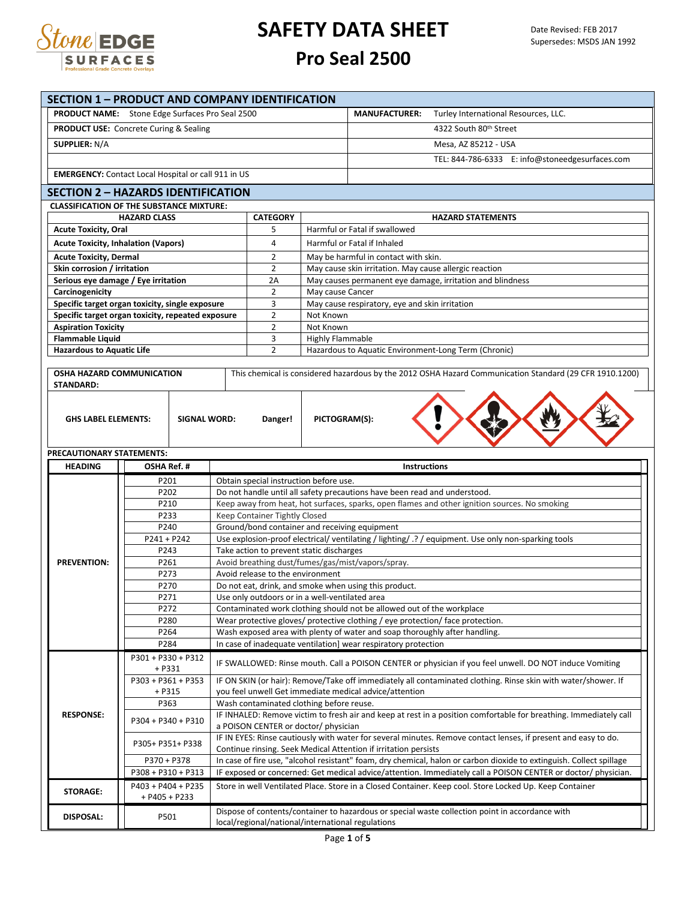

|                                                         | <b>SECTION 1 - PRODUCT AND COMPANY IDENTIFICATION</b>                                        |  |                                                                                |                               |                                                                                |                                                                                                                                                                                                                                       |  |  |
|---------------------------------------------------------|----------------------------------------------------------------------------------------------|--|--------------------------------------------------------------------------------|-------------------------------|--------------------------------------------------------------------------------|---------------------------------------------------------------------------------------------------------------------------------------------------------------------------------------------------------------------------------------|--|--|
|                                                         | <b>PRODUCT NAME:</b> Stone Edge Surfaces Pro Seal 2500                                       |  |                                                                                | <b>MANUFACTURER:</b>          | Turley International Resources, LLC.                                           |                                                                                                                                                                                                                                       |  |  |
|                                                         | <b>PRODUCT USE:</b> Concrete Curing & Sealing                                                |  |                                                                                |                               | 4322 South 80th Street                                                         |                                                                                                                                                                                                                                       |  |  |
| <b>SUPPLIER: N/A</b>                                    |                                                                                              |  |                                                                                |                               |                                                                                | Mesa, AZ 85212 - USA                                                                                                                                                                                                                  |  |  |
|                                                         |                                                                                              |  |                                                                                |                               |                                                                                | TEL: 844-786-6333 E: info@stoneedgesurfaces.com                                                                                                                                                                                       |  |  |
|                                                         | <b>EMERGENCY:</b> Contact Local Hospital or call 911 in US                                   |  |                                                                                |                               |                                                                                |                                                                                                                                                                                                                                       |  |  |
|                                                         |                                                                                              |  |                                                                                |                               |                                                                                |                                                                                                                                                                                                                                       |  |  |
|                                                         | <b>SECTION 2 - HAZARDS IDENTIFICATION</b><br><b>CLASSIFICATION OF THE SUBSTANCE MIXTURE:</b> |  |                                                                                |                               |                                                                                |                                                                                                                                                                                                                                       |  |  |
|                                                         | <b>HAZARD CLASS</b>                                                                          |  | <b>CATEGORY</b>                                                                |                               |                                                                                | <b>HAZARD STATEMENTS</b>                                                                                                                                                                                                              |  |  |
| <b>Acute Toxicity, Oral</b>                             |                                                                                              |  | 5                                                                              | Harmful or Fatal if swallowed |                                                                                |                                                                                                                                                                                                                                       |  |  |
| <b>Acute Toxicity, Inhalation (Vapors)</b>              |                                                                                              |  | 4                                                                              |                               | Harmful or Fatal if Inhaled                                                    |                                                                                                                                                                                                                                       |  |  |
| <b>Acute Toxicity, Dermal</b>                           |                                                                                              |  | 2                                                                              |                               | May be harmful in contact with skin.                                           |                                                                                                                                                                                                                                       |  |  |
| Skin corrosion / irritation                             |                                                                                              |  | $\overline{2}$                                                                 |                               | May cause skin irritation. May cause allergic reaction                         |                                                                                                                                                                                                                                       |  |  |
| Serious eye damage / Eye irritation                     |                                                                                              |  | 2A                                                                             |                               |                                                                                | May causes permanent eye damage, irritation and blindness                                                                                                                                                                             |  |  |
| Carcinogenicity                                         | Specific target organ toxicity, single exposure                                              |  | $\overline{2}$<br>3                                                            | May cause Cancer              | May cause respiratory, eye and skin irritation                                 |                                                                                                                                                                                                                                       |  |  |
|                                                         | Specific target organ toxicity, repeated exposure                                            |  | $\overline{2}$                                                                 | Not Known                     |                                                                                |                                                                                                                                                                                                                                       |  |  |
| <b>Aspiration Toxicity</b>                              |                                                                                              |  | 2                                                                              | Not Known                     |                                                                                |                                                                                                                                                                                                                                       |  |  |
| <b>Flammable Liquid</b>                                 |                                                                                              |  | 3                                                                              | Highly Flammable              |                                                                                |                                                                                                                                                                                                                                       |  |  |
| <b>Hazardous to Aquatic Life</b>                        |                                                                                              |  | $\overline{2}$                                                                 |                               |                                                                                | Hazardous to Aquatic Environment-Long Term (Chronic)                                                                                                                                                                                  |  |  |
| <b>OSHA HAZARD COMMUNICATION</b>                        |                                                                                              |  |                                                                                |                               |                                                                                | This chemical is considered hazardous by the 2012 OSHA Hazard Communication Standard (29 CFR 1910.1200)                                                                                                                               |  |  |
| <b>STANDARD:</b>                                        |                                                                                              |  |                                                                                |                               |                                                                                |                                                                                                                                                                                                                                       |  |  |
| <b>GHS LABEL ELEMENTS:</b><br>PRECAUTIONARY STATEMENTS: | <b>SIGNAL WORD:</b>                                                                          |  | PICTOGRAM(S):<br>Danger!                                                       |                               |                                                                                |                                                                                                                                                                                                                                       |  |  |
|                                                         |                                                                                              |  |                                                                                |                               |                                                                                |                                                                                                                                                                                                                                       |  |  |
| <b>HEADING</b>                                          | OSHA Ref. #                                                                                  |  |                                                                                |                               | Instructions                                                                   |                                                                                                                                                                                                                                       |  |  |
|                                                         | P201                                                                                         |  | Obtain special instruction before use.                                         |                               |                                                                                |                                                                                                                                                                                                                                       |  |  |
|                                                         | P202                                                                                         |  |                                                                                |                               | Do not handle until all safety precautions have been read and understood.      |                                                                                                                                                                                                                                       |  |  |
|                                                         | P210                                                                                         |  |                                                                                |                               |                                                                                | Keep away from heat, hot surfaces, sparks, open flames and other ignition sources. No smoking                                                                                                                                         |  |  |
|                                                         | P233<br>P240                                                                                 |  | Keep Container Tightly Closed<br>Ground/bond container and receiving equipment |                               |                                                                                |                                                                                                                                                                                                                                       |  |  |
|                                                         | $P241 + P242$                                                                                |  |                                                                                |                               |                                                                                | Use explosion-proof electrical/ventilating/lighting/ .? / equipment. Use only non-sparking tools                                                                                                                                      |  |  |
|                                                         | P243                                                                                         |  | Take action to prevent static discharges                                       |                               |                                                                                |                                                                                                                                                                                                                                       |  |  |
| <b>PREVENTION:</b>                                      | P261                                                                                         |  |                                                                                |                               | Avoid breathing dust/fumes/gas/mist/vapors/spray.                              |                                                                                                                                                                                                                                       |  |  |
|                                                         | P273                                                                                         |  | Avoid release to the environment                                               |                               |                                                                                |                                                                                                                                                                                                                                       |  |  |
|                                                         | P270<br>P271                                                                                 |  | Use only outdoors or in a well-ventilated area                                 |                               | Do not eat, drink, and smoke when using this product.                          |                                                                                                                                                                                                                                       |  |  |
|                                                         | P272                                                                                         |  |                                                                                |                               | Contaminated work clothing should not be allowed out of the workplace          |                                                                                                                                                                                                                                       |  |  |
|                                                         | P280                                                                                         |  |                                                                                |                               | Wear protective gloves/ protective clothing / eye protection/ face protection. |                                                                                                                                                                                                                                       |  |  |
|                                                         | P264                                                                                         |  |                                                                                |                               | Wash exposed area with plenty of water and soap thoroughly after handling.     |                                                                                                                                                                                                                                       |  |  |
|                                                         | P284<br>P301 + P330 + P312                                                                   |  |                                                                                |                               | In case of inadequate ventilation] wear respiratory protection                 |                                                                                                                                                                                                                                       |  |  |
|                                                         | + P331<br>P303 + P361 + P353                                                                 |  |                                                                                |                               |                                                                                | IF SWALLOWED: Rinse mouth. Call a POISON CENTER or physician if you feel unwell. DO NOT induce Vomiting                                                                                                                               |  |  |
|                                                         | + P315                                                                                       |  |                                                                                |                               | you feel unwell Get immediate medical advice/attention                         | IF ON SKIN (or hair): Remove/Take off immediately all contaminated clothing. Rinse skin with water/shower. If                                                                                                                         |  |  |
| <b>RESPONSE:</b>                                        | P363<br>P304 + P340 + P310                                                                   |  | Wash contaminated clothing before reuse.                                       |                               |                                                                                | IF INHALED: Remove victim to fresh air and keep at rest in a position comfortable for breathing. Immediately call                                                                                                                     |  |  |
|                                                         | P305+ P351+ P338                                                                             |  | a POISON CENTER or doctor/ physician                                           |                               |                                                                                | IF IN EYES: Rinse cautiously with water for several minutes. Remove contact lenses, if present and easy to do.                                                                                                                        |  |  |
|                                                         |                                                                                              |  |                                                                                |                               | Continue rinsing. Seek Medical Attention if irritation persists                |                                                                                                                                                                                                                                       |  |  |
|                                                         | P370 + P378<br>P308 + P310 + P313                                                            |  |                                                                                |                               |                                                                                | In case of fire use, "alcohol resistant" foam, dry chemical, halon or carbon dioxide to extinguish. Collect spillage<br>IF exposed or concerned: Get medical advice/attention. Immediately call a POISON CENTER or doctor/ physician. |  |  |
| <b>STORAGE:</b>                                         | P403 + P404 + P235<br>+ P405 + P233                                                          |  |                                                                                |                               |                                                                                | Store in well Ventilated Place. Store in a Closed Container. Keep cool. Store Locked Up. Keep Container                                                                                                                               |  |  |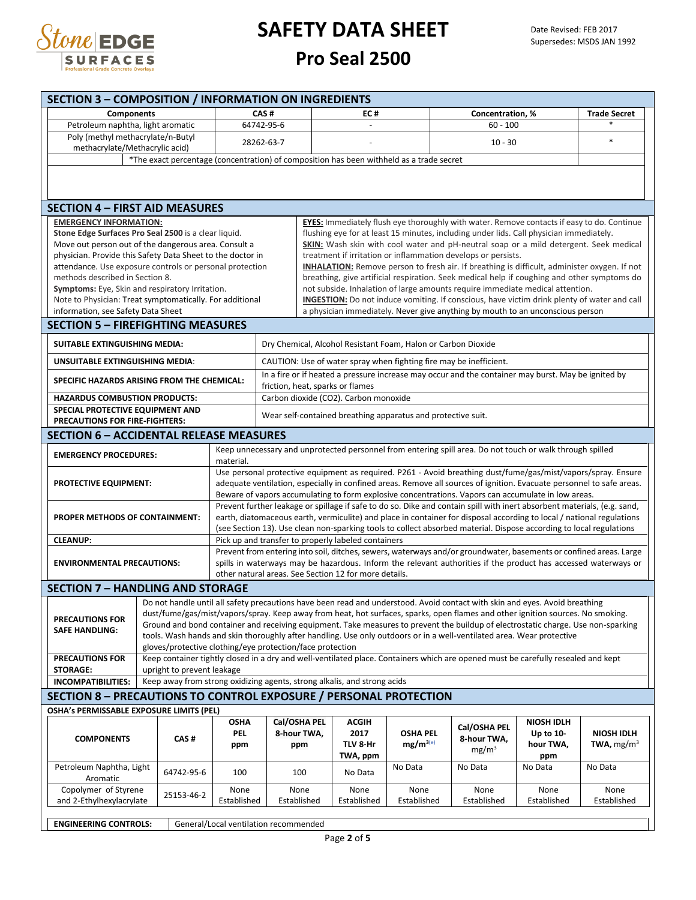

| <b>SECTION 3 - COMPOSITION / INFORMATION ON INGREDIENTS</b>                                                  |                                                                                          |                                                                                                                                                                                                                                 |                                                                                                                                                                                    |                                                                                                                                                        |                 |                   |                     |                   |  |  |
|--------------------------------------------------------------------------------------------------------------|------------------------------------------------------------------------------------------|---------------------------------------------------------------------------------------------------------------------------------------------------------------------------------------------------------------------------------|------------------------------------------------------------------------------------------------------------------------------------------------------------------------------------|--------------------------------------------------------------------------------------------------------------------------------------------------------|-----------------|-------------------|---------------------|-------------------|--|--|
| <b>Components</b>                                                                                            |                                                                                          |                                                                                                                                                                                                                                 | CAS#                                                                                                                                                                               | EC#                                                                                                                                                    |                 | Concentration, %  | <b>Trade Secret</b> |                   |  |  |
| Petroleum naphtha, light aromatic                                                                            | 64742-95-6                                                                               |                                                                                                                                                                                                                                 |                                                                                                                                                                                    |                                                                                                                                                        |                 | $60 - 100$        |                     |                   |  |  |
| Poly (methyl methacrylate/n-Butyl                                                                            | 28262-63-7                                                                               |                                                                                                                                                                                                                                 |                                                                                                                                                                                    | $10 - 30$                                                                                                                                              |                 |                   |                     | $\ast$            |  |  |
| methacrylate/Methacrylic acid)                                                                               |                                                                                          |                                                                                                                                                                                                                                 |                                                                                                                                                                                    |                                                                                                                                                        |                 |                   |                     |                   |  |  |
|                                                                                                              | *The exact percentage (concentration) of composition has been withheld as a trade secret |                                                                                                                                                                                                                                 |                                                                                                                                                                                    |                                                                                                                                                        |                 |                   |                     |                   |  |  |
|                                                                                                              |                                                                                          |                                                                                                                                                                                                                                 |                                                                                                                                                                                    |                                                                                                                                                        |                 |                   |                     |                   |  |  |
|                                                                                                              |                                                                                          |                                                                                                                                                                                                                                 |                                                                                                                                                                                    |                                                                                                                                                        |                 |                   |                     |                   |  |  |
| <b>SECTION 4 – FIRST AID MEASURES</b>                                                                        |                                                                                          |                                                                                                                                                                                                                                 |                                                                                                                                                                                    |                                                                                                                                                        |                 |                   |                     |                   |  |  |
| <b>EMERGENCY INFORMATION:</b>                                                                                |                                                                                          |                                                                                                                                                                                                                                 |                                                                                                                                                                                    | EYES: Immediately flush eye thoroughly with water. Remove contacts if easy to do. Continue                                                             |                 |                   |                     |                   |  |  |
| Stone Edge Surfaces Pro Seal 2500 is a clear liquid.<br>Move out person out of the dangerous area. Consult a |                                                                                          |                                                                                                                                                                                                                                 |                                                                                                                                                                                    | flushing eye for at least 15 minutes, including under lids. Call physician immediately.                                                                |                 |                   |                     |                   |  |  |
| physician. Provide this Safety Data Sheet to the doctor in                                                   |                                                                                          |                                                                                                                                                                                                                                 |                                                                                                                                                                                    | SKIN: Wash skin with cool water and pH-neutral soap or a mild detergent. Seek medical<br>treatment if irritation or inflammation develops or persists. |                 |                   |                     |                   |  |  |
| attendance. Use exposure controls or personal protection                                                     |                                                                                          |                                                                                                                                                                                                                                 |                                                                                                                                                                                    | <b>INHALATION:</b> Remove person to fresh air. If breathing is difficult, administer oxygen. If not                                                    |                 |                   |                     |                   |  |  |
| methods described in Section 8.                                                                              |                                                                                          |                                                                                                                                                                                                                                 |                                                                                                                                                                                    | breathing, give artificial respiration. Seek medical help if coughing and other symptoms do                                                            |                 |                   |                     |                   |  |  |
| Symptoms: Eye, Skin and respiratory Irritation.                                                              |                                                                                          |                                                                                                                                                                                                                                 |                                                                                                                                                                                    | not subside. Inhalation of large amounts require immediate medical attention.                                                                          |                 |                   |                     |                   |  |  |
| Note to Physician: Treat symptomatically. For additional                                                     |                                                                                          |                                                                                                                                                                                                                                 |                                                                                                                                                                                    | <b>INGESTION:</b> Do not induce vomiting. If conscious, have victim drink plenty of water and call                                                     |                 |                   |                     |                   |  |  |
| information, see Safety Data Sheet                                                                           |                                                                                          |                                                                                                                                                                                                                                 |                                                                                                                                                                                    | a physician immediately. Never give anything by mouth to an unconscious person                                                                         |                 |                   |                     |                   |  |  |
| <b>SECTION 5 - FIREFIGHTING MEASURES</b>                                                                     |                                                                                          |                                                                                                                                                                                                                                 |                                                                                                                                                                                    |                                                                                                                                                        |                 |                   |                     |                   |  |  |
| SUITABLE EXTINGUISHING MEDIA:                                                                                |                                                                                          |                                                                                                                                                                                                                                 |                                                                                                                                                                                    | Dry Chemical, Alcohol Resistant Foam, Halon or Carbon Dioxide                                                                                          |                 |                   |                     |                   |  |  |
| UNSUITABLE EXTINGUISHING MEDIA:                                                                              |                                                                                          |                                                                                                                                                                                                                                 |                                                                                                                                                                                    | CAUTION: Use of water spray when fighting fire may be inefficient.                                                                                     |                 |                   |                     |                   |  |  |
| SPECIFIC HAZARDS ARISING FROM THE CHEMICAL:                                                                  |                                                                                          |                                                                                                                                                                                                                                 |                                                                                                                                                                                    | In a fire or if heated a pressure increase may occur and the container may burst. May be ignited by<br>friction, heat, sparks or flames                |                 |                   |                     |                   |  |  |
| <b>HAZARDUS COMBUSTION PRODUCTS:</b>                                                                         |                                                                                          |                                                                                                                                                                                                                                 |                                                                                                                                                                                    | Carbon dioxide (CO2). Carbon monoxide                                                                                                                  |                 |                   |                     |                   |  |  |
| SPECIAL PROTECTIVE EQUIPMENT AND<br>PRECAUTIONS FOR FIRE-FIGHTERS:                                           |                                                                                          |                                                                                                                                                                                                                                 |                                                                                                                                                                                    | Wear self-contained breathing apparatus and protective suit.                                                                                           |                 |                   |                     |                   |  |  |
| <b>SECTION 6 - ACCIDENTAL RELEASE MEASURES</b>                                                               |                                                                                          |                                                                                                                                                                                                                                 |                                                                                                                                                                                    |                                                                                                                                                        |                 |                   |                     |                   |  |  |
| <b>EMERGENCY PROCEDURES:</b>                                                                                 |                                                                                          |                                                                                                                                                                                                                                 |                                                                                                                                                                                    | Keep unnecessary and unprotected personnel from entering spill area. Do not touch or walk through spilled                                              |                 |                   |                     |                   |  |  |
|                                                                                                              |                                                                                          | material.                                                                                                                                                                                                                       |                                                                                                                                                                                    |                                                                                                                                                        |                 |                   |                     |                   |  |  |
|                                                                                                              |                                                                                          |                                                                                                                                                                                                                                 |                                                                                                                                                                                    | Use personal protective equipment as required. P261 - Avoid breathing dust/fume/gas/mist/vapors/spray. Ensure                                          |                 |                   |                     |                   |  |  |
| <b>PROTECTIVE EQUIPMENT:</b>                                                                                 |                                                                                          |                                                                                                                                                                                                                                 |                                                                                                                                                                                    | adequate ventilation, especially in confined areas. Remove all sources of ignition. Evacuate personnel to safe areas.                                  |                 |                   |                     |                   |  |  |
|                                                                                                              |                                                                                          | Beware of vapors accumulating to form explosive concentrations. Vapors can accumulate in low areas.<br>Prevent further leakage or spillage if safe to do so. Dike and contain spill with inert absorbent materials, (e.g. sand, |                                                                                                                                                                                    |                                                                                                                                                        |                 |                   |                     |                   |  |  |
| PROPER METHODS OF CONTAINMENT:                                                                               |                                                                                          | earth, diatomaceous earth, vermiculite) and place in container for disposal according to local / national regulations                                                                                                           |                                                                                                                                                                                    |                                                                                                                                                        |                 |                   |                     |                   |  |  |
|                                                                                                              |                                                                                          | (see Section 13). Use clean non-sparking tools to collect absorbed material. Dispose according to local regulations                                                                                                             |                                                                                                                                                                                    |                                                                                                                                                        |                 |                   |                     |                   |  |  |
| <b>CLEANUP:</b>                                                                                              |                                                                                          | Pick up and transfer to properly labeled containers                                                                                                                                                                             |                                                                                                                                                                                    |                                                                                                                                                        |                 |                   |                     |                   |  |  |
|                                                                                                              |                                                                                          | Prevent from entering into soil, ditches, sewers, waterways and/or groundwater, basements or confined areas. Large                                                                                                              |                                                                                                                                                                                    |                                                                                                                                                        |                 |                   |                     |                   |  |  |
| <b>ENVIRONMENTAL PRECAUTIONS:</b>                                                                            |                                                                                          | spills in waterways may be hazardous. Inform the relevant authorities if the product has accessed waterways or<br>other natural areas. See Section 12 for more details.                                                         |                                                                                                                                                                                    |                                                                                                                                                        |                 |                   |                     |                   |  |  |
| <b>SECTION 7 - HANDLING AND STORAGE</b>                                                                      |                                                                                          |                                                                                                                                                                                                                                 |                                                                                                                                                                                    |                                                                                                                                                        |                 |                   |                     |                   |  |  |
|                                                                                                              |                                                                                          |                                                                                                                                                                                                                                 |                                                                                                                                                                                    | Do not handle until all safety precautions have been read and understood. Avoid contact with skin and eyes. Avoid breathing                            |                 |                   |                     |                   |  |  |
|                                                                                                              |                                                                                          |                                                                                                                                                                                                                                 |                                                                                                                                                                                    | dust/fume/gas/mist/vapors/spray. Keep away from heat, hot surfaces, sparks, open flames and other ignition sources. No smoking.                        |                 |                   |                     |                   |  |  |
| <b>PRECAUTIONS FOR</b><br><b>SAFE HANDLING:</b>                                                              |                                                                                          | Ground and bond container and receiving equipment. Take measures to prevent the buildup of electrostatic charge. Use non-sparking                                                                                               |                                                                                                                                                                                    |                                                                                                                                                        |                 |                   |                     |                   |  |  |
|                                                                                                              |                                                                                          |                                                                                                                                                                                                                                 | tools. Wash hands and skin thoroughly after handling. Use only outdoors or in a well-ventilated area. Wear protective<br>gloves/protective clothing/eye protection/face protection |                                                                                                                                                        |                 |                   |                     |                   |  |  |
| <b>PRECAUTIONS FOR</b>                                                                                       |                                                                                          |                                                                                                                                                                                                                                 |                                                                                                                                                                                    | Keep container tightly closed in a dry and well-ventilated place. Containers which are opened must be carefully resealed and kept                      |                 |                   |                     |                   |  |  |
| <b>STORAGE:</b>                                                                                              | upright to prevent leakage                                                               |                                                                                                                                                                                                                                 |                                                                                                                                                                                    |                                                                                                                                                        |                 |                   |                     |                   |  |  |
| <b>INCOMPATIBILITIES:</b>                                                                                    |                                                                                          |                                                                                                                                                                                                                                 |                                                                                                                                                                                    | Keep away from strong oxidizing agents, strong alkalis, and strong acids                                                                               |                 |                   |                     |                   |  |  |
| <b>SECTION 8 - PRECAUTIONS TO CONTROL EXPOSURE / PERSONAL PROTECTION</b>                                     |                                                                                          |                                                                                                                                                                                                                                 |                                                                                                                                                                                    |                                                                                                                                                        |                 |                   |                     |                   |  |  |
|                                                                                                              | OSHA's PERMISSABLE EXPOSURE LIMITS (PEL)                                                 |                                                                                                                                                                                                                                 |                                                                                                                                                                                    |                                                                                                                                                        |                 |                   |                     |                   |  |  |
|                                                                                                              |                                                                                          | <b>OSHA</b>                                                                                                                                                                                                                     | Cal/OSHA PEL                                                                                                                                                                       | ACGIH                                                                                                                                                  |                 | Cal/OSHA PEL      | <b>NIOSH IDLH</b>   |                   |  |  |
| <b>COMPONENTS</b>                                                                                            | CAS#                                                                                     | <b>PEL</b>                                                                                                                                                                                                                      | 8-hour TWA,                                                                                                                                                                        | 2017                                                                                                                                                   | <b>OSHA PEL</b> | 8-hour TWA,       | Up to $10$ -        | <b>NIOSH IDLH</b> |  |  |
|                                                                                                              |                                                                                          | ppm                                                                                                                                                                                                                             | ppm                                                                                                                                                                                | TLV 8-Hr<br>TWA, ppm                                                                                                                                   | $mg/m^{3(e)}$   | mg/m <sup>3</sup> | hour TWA,<br>ppm    | TWA, $mg/m3$      |  |  |
| Petroleum Naphtha, Light                                                                                     |                                                                                          |                                                                                                                                                                                                                                 |                                                                                                                                                                                    |                                                                                                                                                        | No Data         | No Data           | No Data             | No Data           |  |  |
| Aromatic                                                                                                     | 64742-95-6                                                                               | 100                                                                                                                                                                                                                             | 100                                                                                                                                                                                | No Data                                                                                                                                                |                 |                   |                     |                   |  |  |
| Copolymer of Styrene                                                                                         | 25153-46-2                                                                               | None                                                                                                                                                                                                                            | None                                                                                                                                                                               | None                                                                                                                                                   | None            | None              | None                | None              |  |  |
| and 2-Ethylhexylacrylate                                                                                     |                                                                                          | Established                                                                                                                                                                                                                     | Established                                                                                                                                                                        | Established                                                                                                                                            | Established     | Established       | Established         | Established       |  |  |
| <b>ENGINEERING CONTROLS:</b>                                                                                 |                                                                                          |                                                                                                                                                                                                                                 | General/Local ventilation recommended                                                                                                                                              |                                                                                                                                                        |                 |                   |                     |                   |  |  |
|                                                                                                              |                                                                                          |                                                                                                                                                                                                                                 |                                                                                                                                                                                    |                                                                                                                                                        |                 |                   |                     |                   |  |  |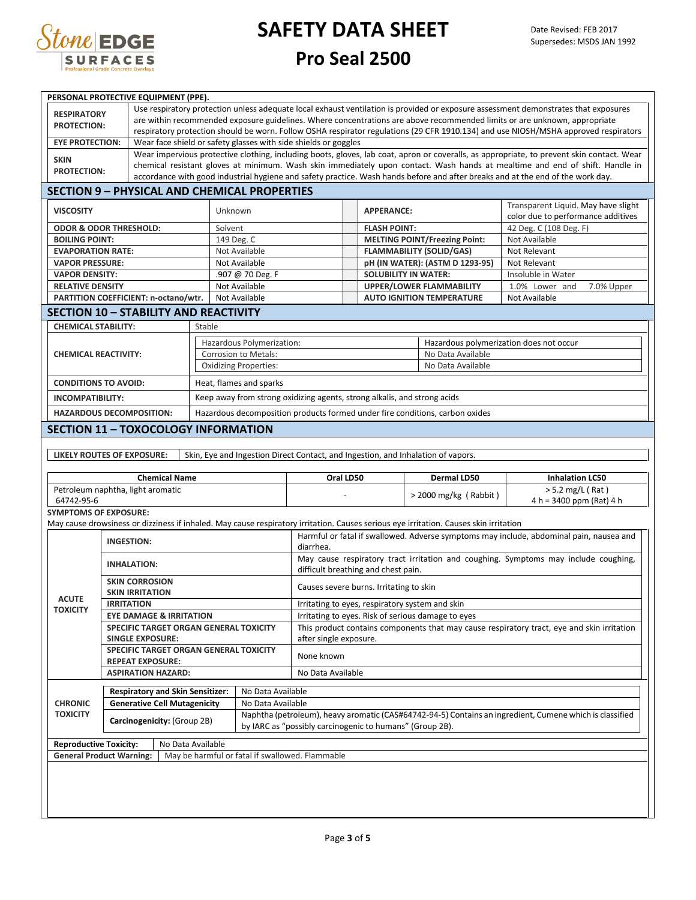

| PERSONAL PROTECTIVE EQUIPMENT (PPE).                                               |                                                                                                                                       |                                                                                                                                           |                                                                                                                                                                     |                                                                                  |                                                    |                                                                                                                      |                        |                                                                              |                                                                                         |  |  |
|------------------------------------------------------------------------------------|---------------------------------------------------------------------------------------------------------------------------------------|-------------------------------------------------------------------------------------------------------------------------------------------|---------------------------------------------------------------------------------------------------------------------------------------------------------------------|----------------------------------------------------------------------------------|----------------------------------------------------|----------------------------------------------------------------------------------------------------------------------|------------------------|------------------------------------------------------------------------------|-----------------------------------------------------------------------------------------|--|--|
| <b>RESPIRATORY</b>                                                                 | Use respiratory protection unless adequate local exhaust ventilation is provided or exposure assessment demonstrates that exposures   |                                                                                                                                           |                                                                                                                                                                     |                                                                                  |                                                    |                                                                                                                      |                        |                                                                              |                                                                                         |  |  |
| <b>PROTECTION:</b>                                                                 | are within recommended exposure guidelines. Where concentrations are above recommended limits or are unknown, appropriate             |                                                                                                                                           |                                                                                                                                                                     |                                                                                  |                                                    |                                                                                                                      |                        |                                                                              |                                                                                         |  |  |
|                                                                                    |                                                                                                                                       | respiratory protection should be worn. Follow OSHA respirator regulations (29 CFR 1910.134) and use NIOSH/MSHA approved respirators       |                                                                                                                                                                     |                                                                                  |                                                    |                                                                                                                      |                        |                                                                              |                                                                                         |  |  |
| <b>EYE PROTECTION:</b>                                                             |                                                                                                                                       | Wear face shield or safety glasses with side shields or goggles                                                                           |                                                                                                                                                                     |                                                                                  |                                                    |                                                                                                                      |                        |                                                                              |                                                                                         |  |  |
| <b>SKIN</b>                                                                        |                                                                                                                                       | Wear impervious protective clothing, including boots, gloves, lab coat, apron or coveralls, as appropriate, to prevent skin contact. Wear |                                                                                                                                                                     |                                                                                  |                                                    |                                                                                                                      |                        |                                                                              |                                                                                         |  |  |
| <b>PROTECTION:</b>                                                                 |                                                                                                                                       | chemical resistant gloves at minimum. Wash skin immediately upon contact. Wash hands at mealtime and end of shift. Handle in              |                                                                                                                                                                     |                                                                                  |                                                    |                                                                                                                      |                        |                                                                              |                                                                                         |  |  |
|                                                                                    | accordance with good industrial hygiene and safety practice. Wash hands before and after breaks and at the end of the work day.       |                                                                                                                                           |                                                                                                                                                                     |                                                                                  |                                                    |                                                                                                                      |                        |                                                                              |                                                                                         |  |  |
|                                                                                    | <b>SECTION 9 - PHYSICAL AND CHEMICAL PROPERTIES</b>                                                                                   |                                                                                                                                           |                                                                                                                                                                     |                                                                                  |                                                    |                                                                                                                      |                        |                                                                              |                                                                                         |  |  |
| <b>VISCOSITY</b>                                                                   |                                                                                                                                       | Unknown                                                                                                                                   |                                                                                                                                                                     |                                                                                  |                                                    | <b>APPERANCE:</b>                                                                                                    |                        |                                                                              | Transparent Liquid. May have slight                                                     |  |  |
|                                                                                    | <b>ODOR &amp; ODOR THRESHOLD:</b>                                                                                                     |                                                                                                                                           |                                                                                                                                                                     |                                                                                  |                                                    | <b>FLASH POINT:</b>                                                                                                  |                        |                                                                              | color due to performance additives                                                      |  |  |
| <b>BOILING POINT:</b>                                                              |                                                                                                                                       | Solvent<br>149 Deg. C                                                                                                                     |                                                                                                                                                                     |                                                                                  |                                                    |                                                                                                                      |                        | <b>MELTING POINT/Freezing Point:</b>                                         | 42 Deg. C (108 Deg. F)<br>Not Available                                                 |  |  |
| <b>EVAPORATION RATE:</b>                                                           |                                                                                                                                       |                                                                                                                                           | Not Available                                                                                                                                                       |                                                                                  |                                                    |                                                                                                                      |                        | <b>FLAMMABILITY (SOLID/GAS)</b>                                              | Not Relevant                                                                            |  |  |
| <b>VAPOR PRESSURE:</b>                                                             |                                                                                                                                       |                                                                                                                                           | Not Available                                                                                                                                                       |                                                                                  |                                                    |                                                                                                                      |                        | pH (IN WATER): (ASTM D 1293-95)                                              | Not Relevant                                                                            |  |  |
| <b>VAPOR DENSITY:</b>                                                              |                                                                                                                                       |                                                                                                                                           | .907 @ 70 Deg. F                                                                                                                                                    |                                                                                  |                                                    | <b>SOLUBILITY IN WATER:</b>                                                                                          |                        |                                                                              | Insoluble in Water                                                                      |  |  |
| <b>RELATIVE DENSITY</b>                                                            |                                                                                                                                       |                                                                                                                                           | Not Available                                                                                                                                                       |                                                                                  |                                                    |                                                                                                                      |                        | <b>UPPER/LOWER FLAMMABILITY</b>                                              | 1.0% Lower and<br>7.0% Upper                                                            |  |  |
|                                                                                    | PARTITION COEFFICIENT: n-octano/wtr.                                                                                                  |                                                                                                                                           | Not Available                                                                                                                                                       |                                                                                  |                                                    |                                                                                                                      |                        | <b>AUTO IGNITION TEMPERATURE</b>                                             | Not Available                                                                           |  |  |
|                                                                                    |                                                                                                                                       |                                                                                                                                           |                                                                                                                                                                     |                                                                                  |                                                    |                                                                                                                      |                        |                                                                              |                                                                                         |  |  |
|                                                                                    | <b>SECTION 10 - STABILITY AND REACTIVITY</b>                                                                                          |                                                                                                                                           |                                                                                                                                                                     |                                                                                  |                                                    |                                                                                                                      |                        |                                                                              |                                                                                         |  |  |
| <b>CHEMICAL STABILITY:</b>                                                         |                                                                                                                                       | Stable                                                                                                                                    |                                                                                                                                                                     |                                                                                  |                                                    |                                                                                                                      |                        |                                                                              |                                                                                         |  |  |
|                                                                                    |                                                                                                                                       |                                                                                                                                           | Hazardous Polymerization:                                                                                                                                           |                                                                                  |                                                    |                                                                                                                      |                        | Hazardous polymerization does not occur                                      |                                                                                         |  |  |
| <b>CHEMICAL REACTIVITY:</b>                                                        |                                                                                                                                       |                                                                                                                                           | Corrosion to Metals:                                                                                                                                                |                                                                                  |                                                    |                                                                                                                      |                        | No Data Available                                                            |                                                                                         |  |  |
|                                                                                    |                                                                                                                                       |                                                                                                                                           | <b>Oxidizing Properties:</b>                                                                                                                                        |                                                                                  |                                                    |                                                                                                                      |                        | No Data Available                                                            |                                                                                         |  |  |
| <b>CONDITIONS TO AVOID:</b>                                                        |                                                                                                                                       |                                                                                                                                           | Heat, flames and sparks                                                                                                                                             |                                                                                  |                                                    |                                                                                                                      |                        |                                                                              |                                                                                         |  |  |
| <b>INCOMPATIBILITY:</b>                                                            |                                                                                                                                       |                                                                                                                                           |                                                                                                                                                                     | Keep away from strong oxidizing agents, strong alkalis, and strong acids         |                                                    |                                                                                                                      |                        |                                                                              |                                                                                         |  |  |
|                                                                                    | <b>HAZARDOUS DECOMPOSITION:</b>                                                                                                       |                                                                                                                                           |                                                                                                                                                                     |                                                                                  |                                                    |                                                                                                                      |                        | Hazardous decomposition products formed under fire conditions, carbon oxides |                                                                                         |  |  |
|                                                                                    |                                                                                                                                       |                                                                                                                                           |                                                                                                                                                                     |                                                                                  |                                                    |                                                                                                                      |                        |                                                                              |                                                                                         |  |  |
|                                                                                    | <b>SECTION 11 - TOXOCOLOGY INFORMATION</b>                                                                                            |                                                                                                                                           |                                                                                                                                                                     |                                                                                  |                                                    |                                                                                                                      |                        |                                                                              |                                                                                         |  |  |
|                                                                                    |                                                                                                                                       |                                                                                                                                           |                                                                                                                                                                     |                                                                                  |                                                    |                                                                                                                      |                        |                                                                              |                                                                                         |  |  |
|                                                                                    | LIKELY ROUTES OF EXPOSURE:                                                                                                            |                                                                                                                                           |                                                                                                                                                                     | Skin, Eye and Ingestion Direct Contact, and Ingestion, and Inhalation of vapors. |                                                    |                                                                                                                      |                        |                                                                              |                                                                                         |  |  |
|                                                                                    | <b>Chemical Name</b>                                                                                                                  |                                                                                                                                           |                                                                                                                                                                     | Oral LD50<br>Dermal LD50                                                         |                                                    |                                                                                                                      | <b>Inhalation LC50</b> |                                                                              |                                                                                         |  |  |
|                                                                                    | Petroleum naphtha, light aromatic                                                                                                     |                                                                                                                                           |                                                                                                                                                                     |                                                                                  |                                                    |                                                                                                                      |                        |                                                                              | $> 5.2$ mg/L (Rat)                                                                      |  |  |
| 64742-95-6                                                                         |                                                                                                                                       |                                                                                                                                           |                                                                                                                                                                     |                                                                                  |                                                    |                                                                                                                      |                        | > 2000 mg/kg (Rabbit)                                                        | $4 h = 3400$ ppm (Rat) $4 h$                                                            |  |  |
| <b>SYMPTOMS OF EXPOSURE:</b>                                                       |                                                                                                                                       |                                                                                                                                           |                                                                                                                                                                     |                                                                                  |                                                    |                                                                                                                      |                        |                                                                              |                                                                                         |  |  |
|                                                                                    | May cause drowsiness or dizziness if inhaled. May cause respiratory irritation. Causes serious eye irritation. Causes skin irritation |                                                                                                                                           |                                                                                                                                                                     |                                                                                  |                                                    |                                                                                                                      |                        |                                                                              |                                                                                         |  |  |
|                                                                                    | <b>INGESTION:</b>                                                                                                                     |                                                                                                                                           |                                                                                                                                                                     | diarrhea.                                                                        |                                                    |                                                                                                                      |                        |                                                                              | Harmful or fatal if swallowed. Adverse symptoms may include, abdominal pain, nausea and |  |  |
|                                                                                    | <b>INHALATION:</b>                                                                                                                    | May cause respiratory tract irritation and coughing. Symptoms may include coughing,<br>difficult breathing and chest pain.                |                                                                                                                                                                     |                                                                                  |                                                    |                                                                                                                      |                        |                                                                              |                                                                                         |  |  |
|                                                                                    | <b>SKIN CORROSION</b>                                                                                                                 |                                                                                                                                           |                                                                                                                                                                     |                                                                                  |                                                    |                                                                                                                      |                        |                                                                              |                                                                                         |  |  |
| <b>ACUTE</b>                                                                       | <b>SKIN IRRITATION</b>                                                                                                                |                                                                                                                                           |                                                                                                                                                                     | Causes severe burns. Irritating to skin                                          |                                                    |                                                                                                                      |                        |                                                                              |                                                                                         |  |  |
| <b>TOXICITY</b>                                                                    | <b>IRRITATION</b>                                                                                                                     |                                                                                                                                           |                                                                                                                                                                     | Irritating to eyes, respiratory system and skin                                  |                                                    |                                                                                                                      |                        |                                                                              |                                                                                         |  |  |
|                                                                                    | <b>EYE DAMAGE &amp; IRRITATION</b>                                                                                                    |                                                                                                                                           |                                                                                                                                                                     |                                                                                  | Irritating to eyes. Risk of serious damage to eyes |                                                                                                                      |                        |                                                                              |                                                                                         |  |  |
|                                                                                    | <b>SINGLE EXPOSURE:</b>                                                                                                               | SPECIFIC TARGET ORGAN GENERAL TOXICITY                                                                                                    |                                                                                                                                                                     |                                                                                  |                                                    | This product contains components that may cause respiratory tract, eye and skin irritation<br>after single exposure. |                        |                                                                              |                                                                                         |  |  |
|                                                                                    | SPECIFIC TARGET ORGAN GENERAL TOXICITY<br><b>REPEAT EXPOSURE:</b>                                                                     |                                                                                                                                           |                                                                                                                                                                     | None known                                                                       |                                                    |                                                                                                                      |                        |                                                                              |                                                                                         |  |  |
|                                                                                    | <b>ASPIRATION HAZARD:</b>                                                                                                             |                                                                                                                                           |                                                                                                                                                                     | No Data Available                                                                |                                                    |                                                                                                                      |                        |                                                                              |                                                                                         |  |  |
|                                                                                    |                                                                                                                                       |                                                                                                                                           |                                                                                                                                                                     |                                                                                  |                                                    |                                                                                                                      |                        |                                                                              |                                                                                         |  |  |
|                                                                                    |                                                                                                                                       | <b>Respiratory and Skin Sensitizer:</b>                                                                                                   |                                                                                                                                                                     |                                                                                  | No Data Available                                  |                                                                                                                      |                        |                                                                              |                                                                                         |  |  |
| <b>CHRONIC</b><br><b>TOXICITY</b>                                                  | <b>Generative Cell Mutagenicity</b>                                                                                                   |                                                                                                                                           | No Data Available                                                                                                                                                   |                                                                                  |                                                    |                                                                                                                      |                        |                                                                              |                                                                                         |  |  |
|                                                                                    | Carcinogenicity: (Group 2B)                                                                                                           |                                                                                                                                           | Naphtha (petroleum), heavy aromatic (CAS#64742-94-5) Contains an ingredient, Cumene which is classified<br>by IARC as "possibly carcinogenic to humans" (Group 2B). |                                                                                  |                                                    |                                                                                                                      |                        |                                                                              |                                                                                         |  |  |
| <b>Reproductive Toxicity:</b><br>No Data Available                                 |                                                                                                                                       |                                                                                                                                           |                                                                                                                                                                     |                                                                                  |                                                    |                                                                                                                      |                        |                                                                              |                                                                                         |  |  |
| <b>General Product Warning:</b><br>May be harmful or fatal if swallowed. Flammable |                                                                                                                                       |                                                                                                                                           |                                                                                                                                                                     |                                                                                  |                                                    |                                                                                                                      |                        |                                                                              |                                                                                         |  |  |
|                                                                                    |                                                                                                                                       |                                                                                                                                           |                                                                                                                                                                     |                                                                                  |                                                    |                                                                                                                      |                        |                                                                              |                                                                                         |  |  |
|                                                                                    |                                                                                                                                       |                                                                                                                                           |                                                                                                                                                                     |                                                                                  |                                                    |                                                                                                                      |                        |                                                                              |                                                                                         |  |  |
|                                                                                    |                                                                                                                                       |                                                                                                                                           |                                                                                                                                                                     |                                                                                  |                                                    |                                                                                                                      |                        |                                                                              |                                                                                         |  |  |
|                                                                                    |                                                                                                                                       |                                                                                                                                           |                                                                                                                                                                     |                                                                                  |                                                    |                                                                                                                      |                        |                                                                              |                                                                                         |  |  |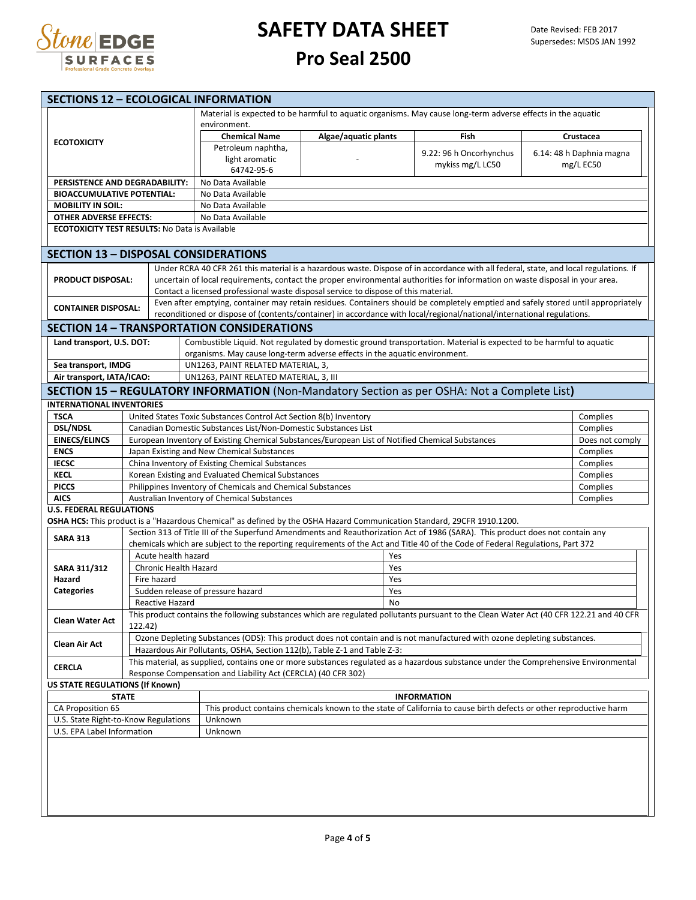

| <b>SECTIONS 12 - ECOLOGICAL INFORMATION</b>                                                                                                           |                                                                                                                          |                       |                    |                                                                                                                    |                      |            |                                                                                                                                         |  |                          |  |  |  |
|-------------------------------------------------------------------------------------------------------------------------------------------------------|--------------------------------------------------------------------------------------------------------------------------|-----------------------|--------------------|--------------------------------------------------------------------------------------------------------------------|----------------------|------------|-----------------------------------------------------------------------------------------------------------------------------------------|--|--------------------------|--|--|--|
|                                                                                                                                                       |                                                                                                                          |                       |                    |                                                                                                                    |                      |            | Material is expected to be harmful to aquatic organisms. May cause long-term adverse effects in the aquatic                             |  |                          |  |  |  |
|                                                                                                                                                       |                                                                                                                          |                       |                    | environment.<br><b>Chemical Name</b>                                                                               | Algae/aquatic plants |            | Fish                                                                                                                                    |  | Crustacea                |  |  |  |
| <b>ECOTOXICITY</b>                                                                                                                                    |                                                                                                                          |                       | Petroleum naphtha, |                                                                                                                    |                      |            |                                                                                                                                         |  |                          |  |  |  |
|                                                                                                                                                       |                                                                                                                          |                       |                    | light aromatic                                                                                                     |                      |            | 9.22: 96 h Oncorhynchus                                                                                                                 |  | 6.14: 48 h Daphnia magna |  |  |  |
|                                                                                                                                                       |                                                                                                                          |                       |                    | mykiss mg/L LC50<br>64742-95-6                                                                                     |                      |            |                                                                                                                                         |  | mg/L EC50                |  |  |  |
| PERSISTENCE AND DEGRADABILITY:                                                                                                                        |                                                                                                                          |                       |                    | No Data Available                                                                                                  |                      |            |                                                                                                                                         |  |                          |  |  |  |
| <b>BIOACCUMULATIVE POTENTIAL:</b>                                                                                                                     |                                                                                                                          |                       |                    | No Data Available                                                                                                  |                      |            |                                                                                                                                         |  |                          |  |  |  |
| <b>MOBILITY IN SOIL:</b>                                                                                                                              |                                                                                                                          |                       |                    | No Data Available                                                                                                  |                      |            |                                                                                                                                         |  |                          |  |  |  |
| <b>OTHER ADVERSE EFFECTS:</b><br><b>ECOTOXICITY TEST RESULTS: No Data is Available</b>                                                                |                                                                                                                          |                       |                    | No Data Available                                                                                                  |                      |            |                                                                                                                                         |  |                          |  |  |  |
|                                                                                                                                                       |                                                                                                                          |                       |                    |                                                                                                                    |                      |            |                                                                                                                                         |  |                          |  |  |  |
| <b>SECTION 13 - DISPOSAL CONSIDERATIONS</b>                                                                                                           |                                                                                                                          |                       |                    |                                                                                                                    |                      |            |                                                                                                                                         |  |                          |  |  |  |
|                                                                                                                                                       |                                                                                                                          |                       |                    |                                                                                                                    |                      |            | Under RCRA 40 CFR 261 this material is a hazardous waste. Dispose of in accordance with all federal, state, and local regulations. If   |  |                          |  |  |  |
| <b>PRODUCT DISPOSAL:</b>                                                                                                                              |                                                                                                                          |                       |                    | Contact a licensed professional waste disposal service to dispose of this material.                                |                      |            | uncertain of local requirements, contact the proper environmental authorities for information on waste disposal in your area.           |  |                          |  |  |  |
|                                                                                                                                                       |                                                                                                                          |                       |                    |                                                                                                                    |                      |            | Even after emptying, container may retain residues. Containers should be completely emptied and safely stored until appropriately       |  |                          |  |  |  |
| <b>CONTAINER DISPOSAL:</b>                                                                                                                            |                                                                                                                          |                       |                    |                                                                                                                    |                      |            | reconditioned or dispose of (contents/container) in accordance with local/regional/national/international regulations.                  |  |                          |  |  |  |
|                                                                                                                                                       |                                                                                                                          |                       |                    | <b>SECTION 14 - TRANSPORTATION CONSIDERATIONS</b>                                                                  |                      |            |                                                                                                                                         |  |                          |  |  |  |
| Land transport, U.S. DOT:                                                                                                                             |                                                                                                                          |                       |                    | organisms. May cause long-term adverse effects in the aquatic environment.                                         |                      |            | Combustible Liquid. Not regulated by domestic ground transportation. Material is expected to be harmful to aquatic                      |  |                          |  |  |  |
| Sea transport, IMDG                                                                                                                                   |                                                                                                                          |                       |                    | UN1263, PAINT RELATED MATERIAL, 3,                                                                                 |                      |            |                                                                                                                                         |  |                          |  |  |  |
| Air transport, IATA/ICAO:                                                                                                                             |                                                                                                                          |                       |                    | UN1263, PAINT RELATED MATERIAL, 3, III                                                                             |                      |            |                                                                                                                                         |  |                          |  |  |  |
|                                                                                                                                                       |                                                                                                                          |                       |                    |                                                                                                                    |                      |            | <b>SECTION 15 - REGULATORY INFORMATION</b> (Non-Mandatory Section as per OSHA: Not a Complete List)                                     |  |                          |  |  |  |
| <b>INTERNATIONAL INVENTORIES</b>                                                                                                                      |                                                                                                                          |                       |                    |                                                                                                                    |                      |            |                                                                                                                                         |  |                          |  |  |  |
| <b>TSCA</b>                                                                                                                                           |                                                                                                                          |                       |                    | United States Toxic Substances Control Act Section 8(b) Inventory<br>Complies                                      |                      |            |                                                                                                                                         |  |                          |  |  |  |
| <b>DSL/NDSL</b>                                                                                                                                       |                                                                                                                          |                       |                    | Canadian Domestic Substances List/Non-Domestic Substances List                                                     |                      |            |                                                                                                                                         |  | Complies                 |  |  |  |
| <b>EINECS/ELINCS</b>                                                                                                                                  |                                                                                                                          |                       |                    | European Inventory of Existing Chemical Substances/European List of Notified Chemical Substances                   |                      |            |                                                                                                                                         |  | Does not comply          |  |  |  |
| <b>ENCS</b>                                                                                                                                           |                                                                                                                          |                       |                    | Japan Existing and New Chemical Substances                                                                         |                      |            |                                                                                                                                         |  | Complies                 |  |  |  |
| <b>IECSC</b>                                                                                                                                          |                                                                                                                          |                       |                    | China Inventory of Existing Chemical Substances                                                                    |                      |            |                                                                                                                                         |  | Complies                 |  |  |  |
| <b>KECL</b>                                                                                                                                           |                                                                                                                          |                       |                    | Korean Existing and Evaluated Chemical Substances                                                                  |                      |            |                                                                                                                                         |  | Complies                 |  |  |  |
| <b>PICCS</b><br><b>AICS</b>                                                                                                                           |                                                                                                                          |                       |                    | Philippines Inventory of Chemicals and Chemical Substances                                                         |                      |            |                                                                                                                                         |  | Complies                 |  |  |  |
| <b>U.S. FEDERAL REGULATIONS</b>                                                                                                                       |                                                                                                                          |                       |                    | Australian Inventory of Chemical Substances                                                                        |                      |            |                                                                                                                                         |  | Complies                 |  |  |  |
|                                                                                                                                                       |                                                                                                                          |                       |                    |                                                                                                                    |                      |            | OSHA HCS: This product is a "Hazardous Chemical" as defined by the OSHA Hazard Communication Standard, 29CFR 1910.1200.                 |  |                          |  |  |  |
| <b>SARA 313</b>                                                                                                                                       |                                                                                                                          |                       |                    |                                                                                                                    |                      |            | Section 313 of Title III of the Superfund Amendments and Reauthorization Act of 1986 (SARA). This product does not contain any          |  |                          |  |  |  |
|                                                                                                                                                       |                                                                                                                          |                       |                    |                                                                                                                    |                      |            | chemicals which are subject to the reporting requirements of the Act and Title 40 of the Code of Federal Regulations, Part 372          |  |                          |  |  |  |
|                                                                                                                                                       |                                                                                                                          | Acute health hazard   |                    |                                                                                                                    |                      | Yes        |                                                                                                                                         |  |                          |  |  |  |
| <b>SARA 311/312</b>                                                                                                                                   |                                                                                                                          | Chronic Health Hazard |                    |                                                                                                                    |                      | Yes        |                                                                                                                                         |  |                          |  |  |  |
| Hazard                                                                                                                                                |                                                                                                                          | Fire hazard           |                    |                                                                                                                    |                      | Yes<br>Yes |                                                                                                                                         |  |                          |  |  |  |
| <b>Categories</b>                                                                                                                                     |                                                                                                                          | Reactive Hazard       |                    | Sudden release of pressure hazard                                                                                  |                      |            |                                                                                                                                         |  |                          |  |  |  |
|                                                                                                                                                       |                                                                                                                          |                       |                    |                                                                                                                    |                      | No         | This product contains the following substances which are regulated pollutants pursuant to the Clean Water Act (40 CFR 122.21 and 40 CFR |  |                          |  |  |  |
| <b>Clean Water Act</b>                                                                                                                                | 122.42)                                                                                                                  |                       |                    |                                                                                                                    |                      |            |                                                                                                                                         |  |                          |  |  |  |
| Clean Air Act                                                                                                                                         | Ozone Depleting Substances (ODS): This product does not contain and is not manufactured with ozone depleting substances. |                       |                    |                                                                                                                    |                      |            |                                                                                                                                         |  |                          |  |  |  |
|                                                                                                                                                       |                                                                                                                          |                       |                    | Hazardous Air Pollutants, OSHA, Section 112(b), Table Z-1 and Table Z-3:                                           |                      |            |                                                                                                                                         |  |                          |  |  |  |
| This material, as supplied, contains one or more substances regulated as a hazardous substance under the Comprehensive Environmental<br><b>CERCLA</b> |                                                                                                                          |                       |                    |                                                                                                                    |                      |            |                                                                                                                                         |  |                          |  |  |  |
| Response Compensation and Liability Act (CERCLA) (40 CFR 302)<br><b>US STATE REGULATIONS (If Known)</b>                                               |                                                                                                                          |                       |                    |                                                                                                                    |                      |            |                                                                                                                                         |  |                          |  |  |  |
|                                                                                                                                                       | <b>STATE</b>                                                                                                             |                       |                    |                                                                                                                    |                      |            | <b>INFORMATION</b>                                                                                                                      |  |                          |  |  |  |
| CA Proposition 65                                                                                                                                     |                                                                                                                          |                       |                    | This product contains chemicals known to the state of California to cause birth defects or other reproductive harm |                      |            |                                                                                                                                         |  |                          |  |  |  |
| U.S. State Right-to-Know Regulations                                                                                                                  |                                                                                                                          |                       |                    | Unknown                                                                                                            |                      |            |                                                                                                                                         |  |                          |  |  |  |
| U.S. EPA Label Information                                                                                                                            |                                                                                                                          |                       |                    | Unknown                                                                                                            |                      |            |                                                                                                                                         |  |                          |  |  |  |
|                                                                                                                                                       |                                                                                                                          |                       |                    |                                                                                                                    |                      |            |                                                                                                                                         |  |                          |  |  |  |